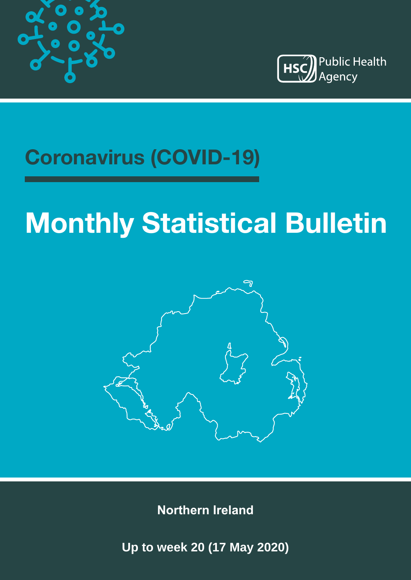



## **Coronavirus (COVID-19)**

# **Monthly Statistical Bulletin**



**Northern Ireland**

**Up to week 20 (17 May 2020)**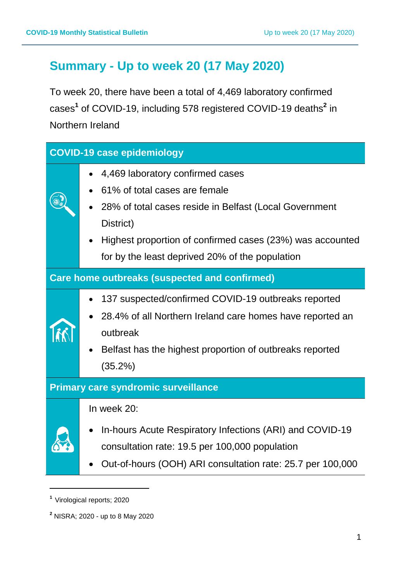## **Summary - Up to week 20 (17 May 2020)**

To week 20, there have been a total of 4,469 laboratory confirmed cases**<sup>1</sup>** of COVID-19, including 578 registered COVID-19 deaths**<sup>2</sup>** in Northern Ireland

| <b>COVID-19 case epidemiology</b>                    |                                                            |  |  |  |
|------------------------------------------------------|------------------------------------------------------------|--|--|--|
|                                                      | 4,469 laboratory confirmed cases                           |  |  |  |
|                                                      | 61% of total cases are female                              |  |  |  |
|                                                      | 28% of total cases reside in Belfast (Local Government     |  |  |  |
|                                                      | District)                                                  |  |  |  |
|                                                      | Highest proportion of confirmed cases (23%) was accounted  |  |  |  |
|                                                      | for by the least deprived 20% of the population            |  |  |  |
| <b>Care home outbreaks (suspected and confirmed)</b> |                                                            |  |  |  |
|                                                      | 137 suspected/confirmed COVID-19 outbreaks reported        |  |  |  |
|                                                      | 28.4% of all Northern Ireland care homes have reported an  |  |  |  |
|                                                      | outbreak                                                   |  |  |  |
|                                                      | Belfast has the highest proportion of outbreaks reported   |  |  |  |
|                                                      | (35.2%)                                                    |  |  |  |
| <b>Primary care syndromic surveillance</b>           |                                                            |  |  |  |
|                                                      | In week 20:                                                |  |  |  |
|                                                      | In-hours Acute Respiratory Infections (ARI) and COVID-19   |  |  |  |
|                                                      | consultation rate: 19.5 per 100,000 population             |  |  |  |
|                                                      | Out-of-hours (OOH) ARI consultation rate: 25.7 per 100,000 |  |  |  |

**<sup>1</sup>** Virological reports; 2020

1

**<sup>2</sup>** NISRA; 2020 - up to 8 May 2020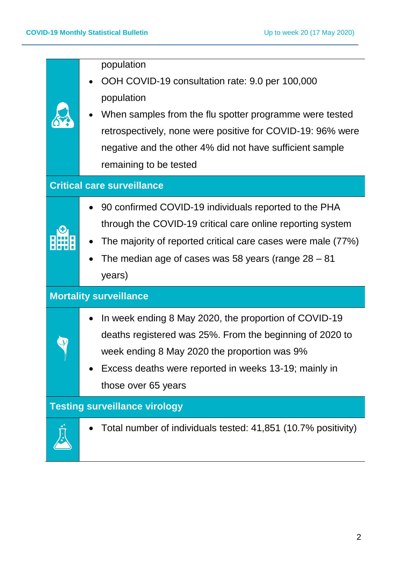|                                   | population<br>OOH COVID-19 consultation rate: 9.0 per 100,000<br>population<br>When samples from the flu spotter programme were tested<br>retrospectively, none were positive for COVID-19: 96% were<br>negative and the other 4% did not have sufficient sample<br>remaining to be tested |  |  |  |  |
|-----------------------------------|--------------------------------------------------------------------------------------------------------------------------------------------------------------------------------------------------------------------------------------------------------------------------------------------|--|--|--|--|
| <b>Critical care surveillance</b> |                                                                                                                                                                                                                                                                                            |  |  |  |  |
|                                   | 90 confirmed COVID-19 individuals reported to the PHA<br>through the COVID-19 critical care online reporting system<br>The majority of reported critical care cases were male (77%)<br>The median age of cases was 58 years (range $28 - 81$<br>years)                                     |  |  |  |  |
|                                   | <b>Mortality surveillance</b>                                                                                                                                                                                                                                                              |  |  |  |  |
|                                   | In week ending 8 May 2020, the proportion of COVID-19<br>$\bullet$<br>deaths registered was 25%. From the beginning of 2020 to<br>week ending 8 May 2020 the proportion was 9%<br>Excess deaths were reported in weeks 13-19; mainly in<br>those over 65 years                             |  |  |  |  |
|                                   | <b>Testing surveillance virology</b>                                                                                                                                                                                                                                                       |  |  |  |  |
|                                   | Total number of individuals tested: 41,851 (10.7% positivity)                                                                                                                                                                                                                              |  |  |  |  |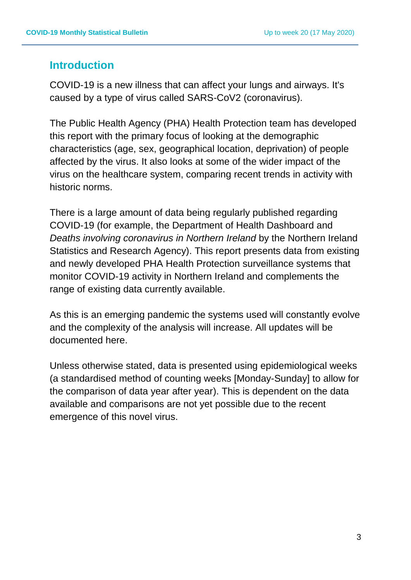## **Introduction**

COVID-19 is a new illness that can affect your lungs and airways. It's caused by a type of virus called SARS-CoV2 (coronavirus).

The Public Health Agency (PHA) Health Protection team has developed this report with the primary focus of looking at the demographic characteristics (age, sex, geographical location, deprivation) of people affected by the virus. It also looks at some of the wider impact of the virus on the healthcare system, comparing recent trends in activity with historic norms.

There is a large amount of data being regularly published regarding COVID-19 (for example, the Department of Health Dashboard and *Deaths involving coronavirus in Northern Ireland* by the Northern Ireland Statistics and Research Agency). This report presents data from existing and newly developed PHA Health Protection surveillance systems that monitor COVID-19 activity in Northern Ireland and complements the range of existing data currently available.

As this is an emerging pandemic the systems used will constantly evolve and the complexity of the analysis will increase. All updates will be documented here.

Unless otherwise stated, data is presented using epidemiological weeks (a standardised method of counting weeks [Monday-Sunday] to allow for the comparison of data year after year). This is dependent on the data available and comparisons are not yet possible due to the recent emergence of this novel virus.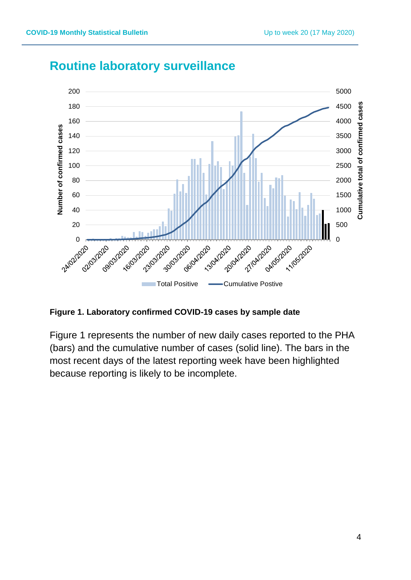

## **Routine laboratory surveillance**

**Figure 1. Laboratory confirmed COVID-19 cases by sample date**

Figure 1 represents the number of new daily cases reported to the PHA (bars) and the cumulative number of cases (solid line). The bars in the most recent days of the latest reporting week have been highlighted because reporting is likely to be incomplete.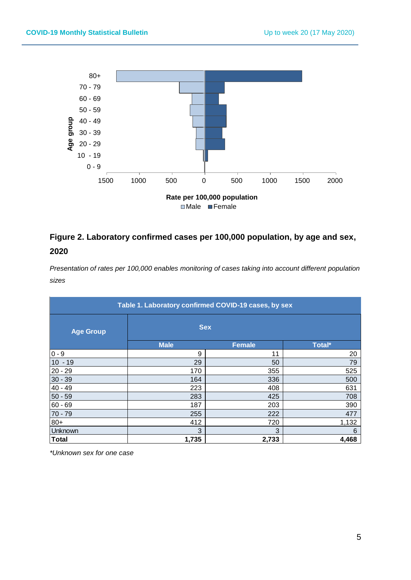

## **Figure 2. Laboratory confirmed cases per 100,000 population, by age and sex, 2020**

*Presentation of rates per 100,000 enables monitoring of cases taking into account different population sizes*

| Table 1. Laboratory confirmed COVID-19 cases, by sex |             |               |        |  |
|------------------------------------------------------|-------------|---------------|--------|--|
| <b>Age Group</b>                                     | <b>Sex</b>  |               |        |  |
|                                                      | <b>Male</b> | <b>Female</b> | Total* |  |
| $0 - 9$                                              | 9           | 11            | 20     |  |
| $10 - 19$                                            | 29          | 50            | 79     |  |
| $20 - 29$                                            | 170         | 355           | 525    |  |
| $30 - 39$                                            | 164         | 336           | 500    |  |
| $40 - 49$                                            | 223         | 408           | 631    |  |
| $50 - 59$                                            | 283         | 425           | 708    |  |
| $60 - 69$                                            | 187         | 203           | 390    |  |
| $70 - 79$                                            | 255         | 222           | 477    |  |
| $80+$                                                | 412         | 720           | 1,132  |  |
| Unknown                                              | 3           | 3             | 6      |  |
| <b>Total</b>                                         | 1,735       | 2,733         | 4,468  |  |

*\*Unknown sex for one case*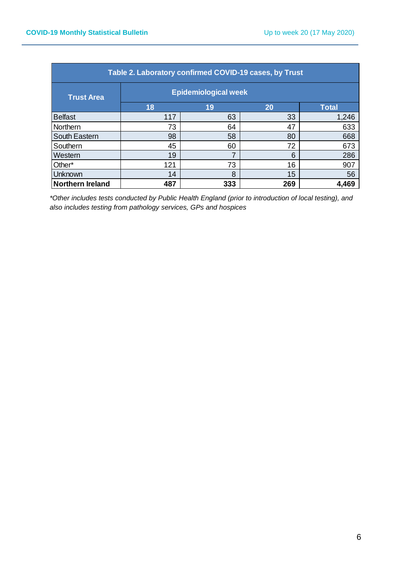| Table 2. Laboratory confirmed COVID-19 cases, by Trust |                             |     |     |              |  |
|--------------------------------------------------------|-----------------------------|-----|-----|--------------|--|
| <b>Trust Area</b>                                      | <b>Epidemiological week</b> |     |     |              |  |
|                                                        | 18                          | 19  | 20  | <b>Total</b> |  |
| <b>Belfast</b>                                         | 117                         | 63  | 33  | 1,246        |  |
| Northern                                               | 73                          | 64  | 47  | 633          |  |
| South Eastern                                          | 98                          | 58  | 80  | 668          |  |
| Southern                                               | 45                          | 60  | 72  | 673          |  |
| Western                                                | 19                          | 7   | 6   | 286          |  |
| Other*                                                 | 121                         | 73  | 16  | 907          |  |
| <b>Unknown</b>                                         | 14                          | 8   | 15  | 56           |  |
| <b>Northern Ireland</b>                                | 487                         | 333 | 269 | 4,469        |  |

*\*Other includes tests conducted by Public Health England (prior to introduction of local testing), and also includes testing from pathology services, GPs and hospices*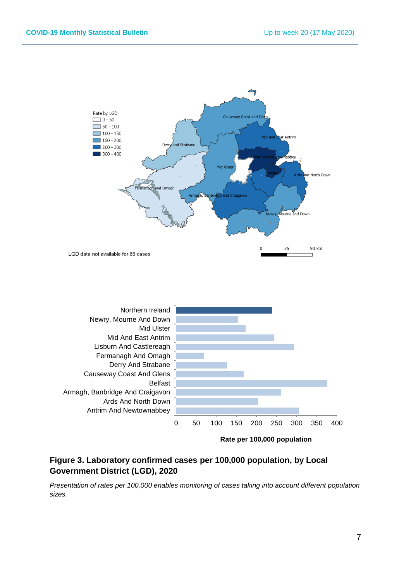



#### **Figure 3. Laboratory confirmed cases per 100,000 population, by Local Government District (LGD), 2020**

*Presentation of rates per 100,000 enables monitoring of cases taking into account different population sizes.*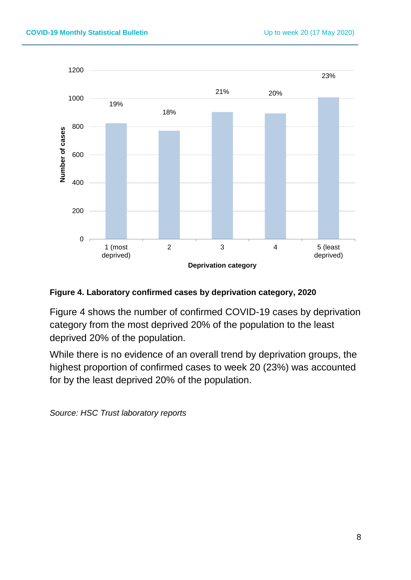

**Figure 4. Laboratory confirmed cases by deprivation category, 2020**

Figure 4 shows the number of confirmed COVID-19 cases by deprivation category from the most deprived 20% of the population to the least deprived 20% of the population.

While there is no evidence of an overall trend by deprivation groups, the highest proportion of confirmed cases to week 20 (23%) was accounted for by the least deprived 20% of the population.

*Source: HSC Trust laboratory reports*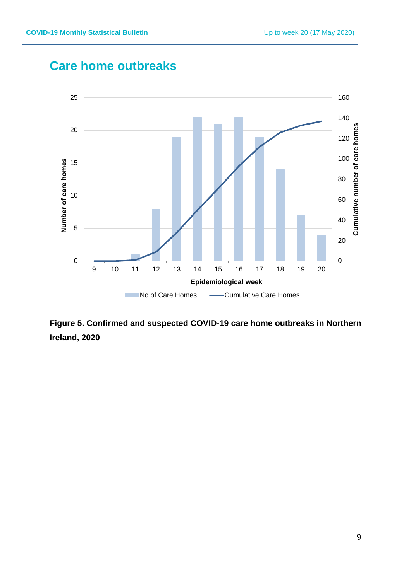

## **Care home outbreaks**

**Figure 5. Confirmed and suspected COVID-19 care home outbreaks in Northern Ireland, 2020**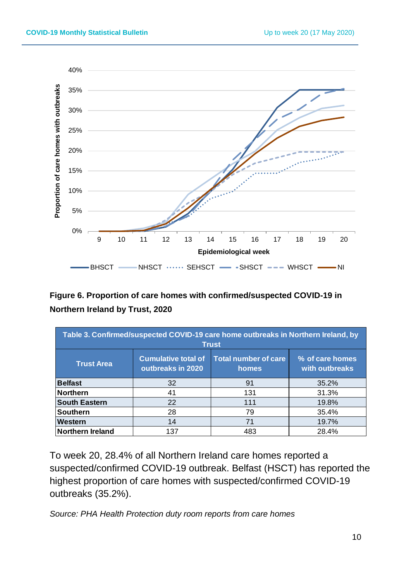

## **Figure 6. Proportion of care homes with confirmed/suspected COVID-19 in Northern Ireland by Trust, 2020**

| Table 3. Confirmed/suspected COVID-19 care home outbreaks in Northern Ireland, by<br><b>Trust</b> |                                                 |                                      |                                   |  |
|---------------------------------------------------------------------------------------------------|-------------------------------------------------|--------------------------------------|-----------------------------------|--|
| <b>Trust Area</b>                                                                                 | <b>Cumulative total of</b><br>outbreaks in 2020 | <b>Total number of care</b><br>homes | % of care homes<br>with outbreaks |  |
| <b>Belfast</b>                                                                                    | 32                                              | 91                                   | 35.2%                             |  |
| <b>Northern</b>                                                                                   | 41                                              | 131                                  | 31.3%                             |  |
| <b>South Eastern</b>                                                                              | 22                                              | 111                                  | 19.8%                             |  |
| <b>Southern</b>                                                                                   | 28                                              | 79                                   | 35.4%                             |  |
| <b>Western</b>                                                                                    | 14                                              | 71                                   | 19.7%                             |  |
| Northern Ireland                                                                                  | 137                                             | 483                                  | 28.4%                             |  |

To week 20, 28.4% of all Northern Ireland care homes reported a suspected/confirmed COVID-19 outbreak. Belfast (HSCT) has reported the highest proportion of care homes with suspected/confirmed COVID-19 outbreaks (35.2%).

*Source: PHA Health Protection duty room reports from care homes*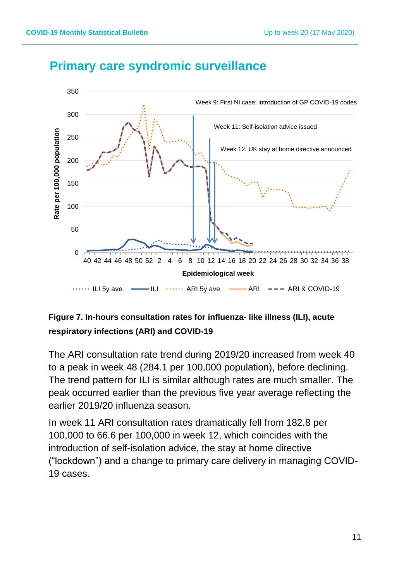

## **Primary care syndromic surveillance**

## **Figure 7. In-hours consultation rates for influenza- like illness (ILI), acute respiratory infections (ARI) and COVID-19**

The ARI consultation rate trend during 2019/20 increased from week 40 to a peak in week 48 (284.1 per 100,000 population), before declining. The trend pattern for ILI is similar although rates are much smaller. The peak occurred earlier than the previous five year average reflecting the earlier 2019/20 influenza season.

In week 11 ARI consultation rates dramatically fell from 182.8 per 100,000 to 66.6 per 100,000 in week 12, which coincides with the introduction of self-isolation advice, the stay at home directive ("lockdown") and a change to primary care delivery in managing COVID-19 cases.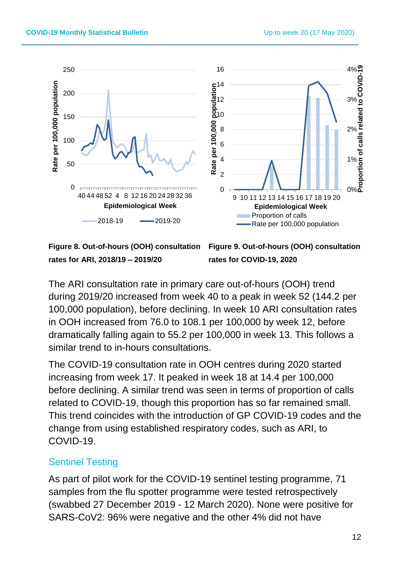

**Figure 8. Out-of-hours (OOH) consultation Figure 9. Out-of-hours (OOH) consultation rates for ARI, 2018/19 – 2019/20 rates for COVID-19, 2020**

The ARI consultation rate in primary care out-of-hours (OOH) trend during 2019/20 increased from week 40 to a peak in week 52 (144.2 per 100,000 population), before declining. In week 10 ARI consultation rates in OOH increased from 76.0 to 108.1 per 100,000 by week 12, before dramatically falling again to 55.2 per 100,000 in week 13. This follows a similar trend to in-hours consultations.

The COVID-19 consultation rate in OOH centres during 2020 started increasing from week 17. It peaked in week 18 at 14.4 per 100,000 before declining. A similar trend was seen in terms of proportion of calls related to COVID-19, though this proportion has so far remained small. This trend coincides with the introduction of GP COVID-19 codes and the change from using established respiratory codes, such as ARI, to COVID-19.

## Sentinel Testing

As part of pilot work for the COVID-19 sentinel testing programme, 71 samples from the flu spotter programme were tested retrospectively (swabbed 27 December 2019 - 12 March 2020). None were positive for SARS-CoV2: 96% were negative and the other 4% did not have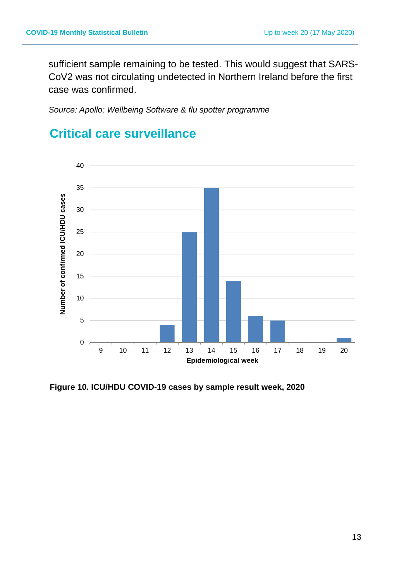sufficient sample remaining to be tested. This would suggest that SARS-CoV2 was not circulating undetected in Northern Ireland before the first case was confirmed.

*Source: Apollo; Wellbeing Software & flu spotter programme*



## **Critical care surveillance**

**Figure 10. ICU/HDU COVID-19 cases by sample result week, 2020**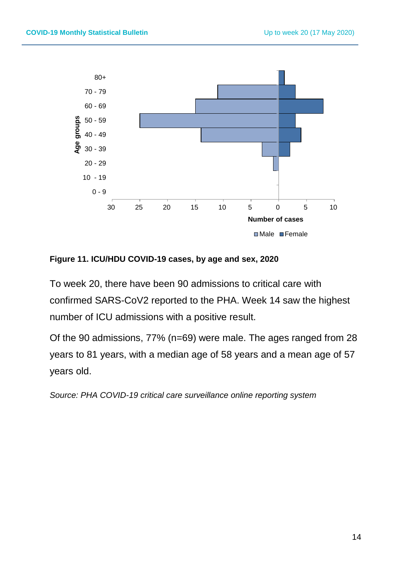

**Figure 11. ICU/HDU COVID-19 cases, by age and sex, 2020**

To week 20, there have been 90 admissions to critical care with confirmed SARS-CoV2 reported to the PHA. Week 14 saw the highest number of ICU admissions with a positive result.

Of the 90 admissions, 77% (n=69) were male. The ages ranged from 28 years to 81 years, with a median age of 58 years and a mean age of 57 years old.

*Source: PHA COVID-19 critical care surveillance online reporting system*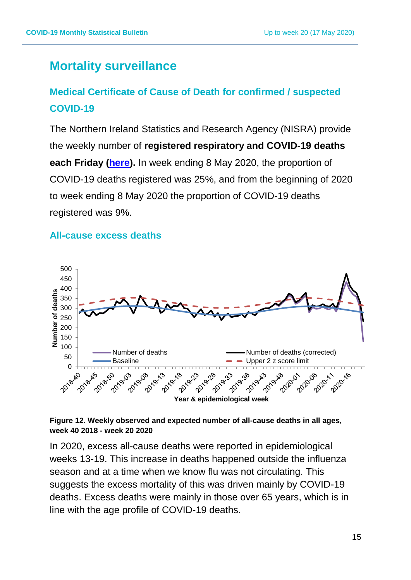## **Mortality surveillance**

## **Medical Certificate of Cause of Death for confirmed / suspected COVID-19**

The Northern Ireland Statistics and Research Agency (NISRA) provide the weekly number of **registered respiratory and COVID-19 deaths each Friday [\(here\)](https://files.nisra.gov.uk/Births,%20Deaths%20and%20Marriages/Weekly-Deaths-Dashboard.html).** In week ending 8 May 2020, the proportion of COVID-19 deaths registered was 25%, and from the beginning of 2020 to week ending 8 May 2020 the proportion of COVID-19 deaths registered was 9%.

## **All-cause excess deaths**



#### **Figure 12. Weekly observed and expected number of all-cause deaths in all ages, week 40 2018 - week 20 2020**

In 2020, excess all-cause deaths were reported in epidemiological weeks 13-19. This increase in deaths happened outside the influenza season and at a time when we know flu was not circulating. This suggests the excess mortality of this was driven mainly by COVID-19 deaths. Excess deaths were mainly in those over 65 years, which is in line with the age profile of COVID-19 deaths.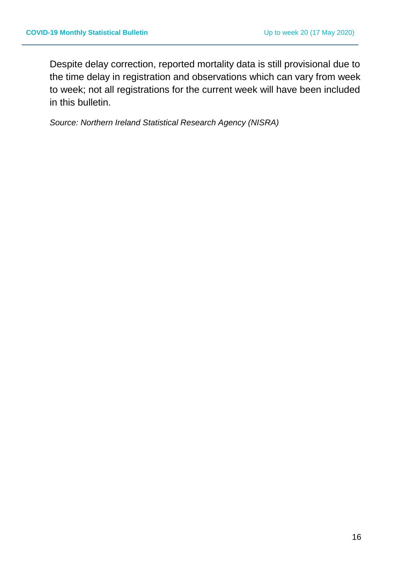Despite delay correction, reported mortality data is still provisional due to the time delay in registration and observations which can vary from week to week; not all registrations for the current week will have been included in this bulletin.

*Source: Northern Ireland Statistical Research Agency (NISRA)*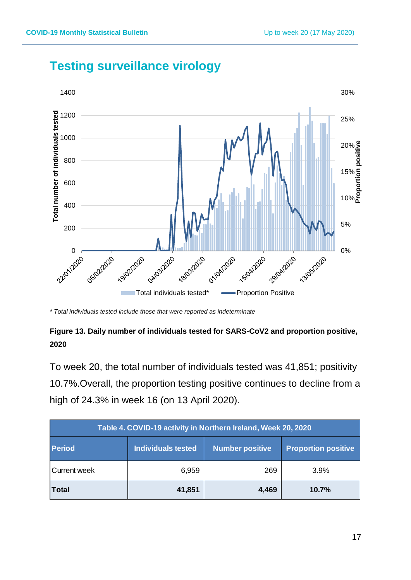

## **Testing surveillance virology**

## **Figure 13. Daily number of individuals tested for SARS-CoV2 and proportion positive, 2020**

To week 20, the total number of individuals tested was 41,851; positivity 10.7%.Overall, the proportion testing positive continues to decline from a high of 24.3% in week 16 (on 13 April 2020).

| Table 4. COVID-19 activity in Northern Ireland, Week 20, 2020 |                           |                        |                            |  |
|---------------------------------------------------------------|---------------------------|------------------------|----------------------------|--|
| <b>Period</b>                                                 | <b>Individuals tested</b> | <b>Number positive</b> | <b>Proportion positive</b> |  |
| <b>Current week</b>                                           | 6,959                     | 269                    | 3.9%                       |  |
| <b>Total</b>                                                  | 41,851                    | 4,469                  | 10.7%                      |  |

*<sup>\*</sup> Total individuals tested include those that were reported as indeterminate*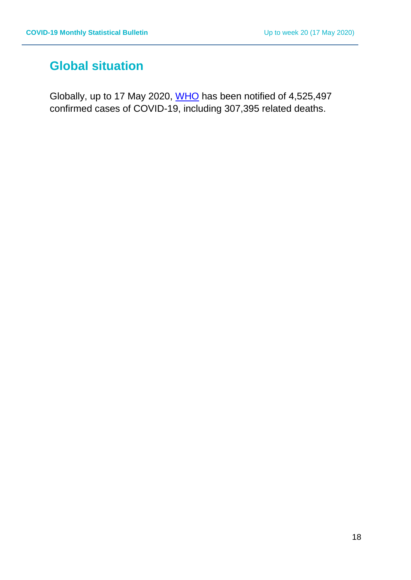## **Global situation**

Globally, up to 17 May 2020, *WHO* has been notified of 4,525,497 confirmed cases of COVID-19, including 307,395 related deaths.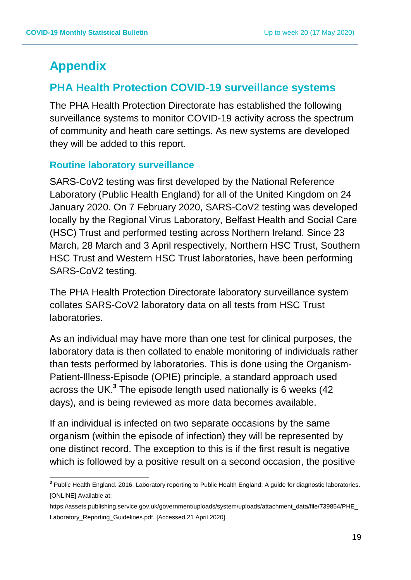## **Appendix**

 $\overline{a}$ 

## **PHA Health Protection COVID-19 surveillance systems**

The PHA Health Protection Directorate has established the following surveillance systems to monitor COVID-19 activity across the spectrum of community and heath care settings. As new systems are developed they will be added to this report.

#### **Routine laboratory surveillance**

SARS-CoV2 testing was first developed by the National Reference Laboratory (Public Health England) for all of the United Kingdom on 24 January 2020. On 7 February 2020, SARS-CoV2 testing was developed locally by the Regional Virus Laboratory, Belfast Health and Social Care (HSC) Trust and performed testing across Northern Ireland. Since 23 March, 28 March and 3 April respectively, Northern HSC Trust, Southern HSC Trust and Western HSC Trust laboratories, have been performing SARS-CoV2 testing.

The PHA Health Protection Directorate laboratory surveillance system collates SARS-CoV2 laboratory data on all tests from HSC Trust laboratories.

As an individual may have more than one test for clinical purposes, the laboratory data is then collated to enable monitoring of individuals rather than tests performed by laboratories. This is done using the Organism-Patient-Illness-Episode (OPIE) principle, a standard approach used across the UK. **3** The episode length used nationally is 6 weeks (42 days), and is being reviewed as more data becomes available.

If an individual is infected on two separate occasions by the same organism (within the episode of infection) they will be represented by one distinct record. The exception to this is if the first result is negative which is followed by a positive result on a second occasion, the positive

**<sup>3</sup>** Public Health England. 2016. Laboratory reporting to Public Health England: A guide for diagnostic laboratories. [ONLINE] Available at:

https://assets.publishing.service.gov.uk/government/uploads/system/uploads/attachment\_data/file/739854/PHE\_ Laboratory\_Reporting\_Guidelines.pdf. [Accessed 21 April 2020]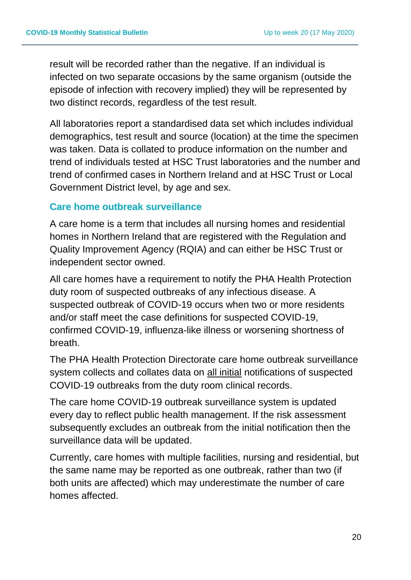result will be recorded rather than the negative. If an individual is infected on two separate occasions by the same organism (outside the episode of infection with recovery implied) they will be represented by two distinct records, regardless of the test result.

All laboratories report a standardised data set which includes individual demographics, test result and source (location) at the time the specimen was taken. Data is collated to produce information on the number and trend of individuals tested at HSC Trust laboratories and the number and trend of confirmed cases in Northern Ireland and at HSC Trust or Local Government District level, by age and sex.

#### **Care home outbreak surveillance**

A care home is a term that includes all nursing homes and residential homes in Northern Ireland that are registered with the Regulation and Quality Improvement Agency (RQIA) and can either be HSC Trust or independent sector owned.

All care homes have a requirement to notify the PHA Health Protection duty room of suspected outbreaks of any infectious disease. A suspected outbreak of COVID-19 occurs when two or more residents and/or staff meet the case definitions for suspected COVID-19, confirmed COVID-19, influenza-like illness or worsening shortness of breath.

The PHA Health Protection Directorate care home outbreak surveillance system collects and collates data on all initial notifications of suspected COVID-19 outbreaks from the duty room clinical records.

The care home COVID-19 outbreak surveillance system is updated every day to reflect public health management. If the risk assessment subsequently excludes an outbreak from the initial notification then the surveillance data will be updated.

Currently, care homes with multiple facilities, nursing and residential, but the same name may be reported as one outbreak, rather than two (if both units are affected) which may underestimate the number of care homes affected.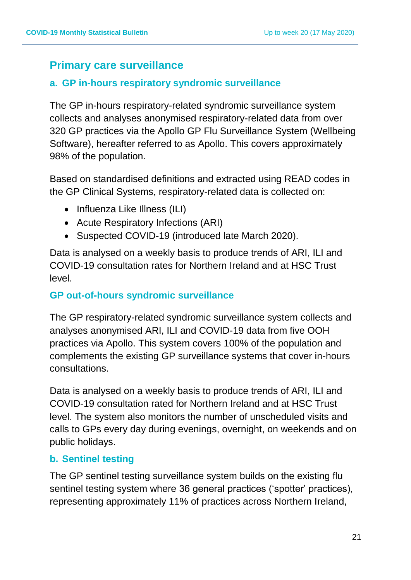## **Primary care surveillance**

#### **a. GP in-hours respiratory syndromic surveillance**

The GP in-hours respiratory-related syndromic surveillance system collects and analyses anonymised respiratory-related data from over 320 GP practices via the Apollo GP Flu Surveillance System (Wellbeing Software), hereafter referred to as Apollo. This covers approximately 98% of the population.

Based on standardised definitions and extracted using READ codes in the GP Clinical Systems, respiratory-related data is collected on:

- Influenza Like Illness (ILI)
- Acute Respiratory Infections (ARI)
- Suspected COVID-19 (introduced late March 2020).

Data is analysed on a weekly basis to produce trends of ARI, ILI and COVID-19 consultation rates for Northern Ireland and at HSC Trust level.

#### **GP out-of-hours syndromic surveillance**

The GP respiratory-related syndromic surveillance system collects and analyses anonymised ARI, ILI and COVID-19 data from five OOH practices via Apollo. This system covers 100% of the population and complements the existing GP surveillance systems that cover in-hours consultations.

Data is analysed on a weekly basis to produce trends of ARI, ILI and COVID-19 consultation rated for Northern Ireland and at HSC Trust level. The system also monitors the number of unscheduled visits and calls to GPs every day during evenings, overnight, on weekends and on public holidays.

#### **b. Sentinel testing**

The GP sentinel testing surveillance system builds on the existing flu sentinel testing system where 36 general practices ('spotter' practices), representing approximately 11% of practices across Northern Ireland,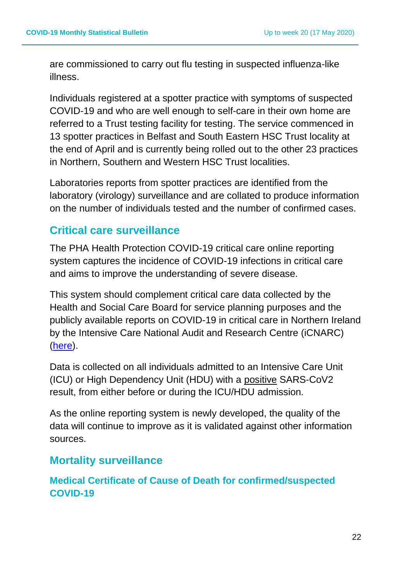are commissioned to carry out flu testing in suspected influenza-like illness.

Individuals registered at a spotter practice with symptoms of suspected COVID-19 and who are well enough to self-care in their own home are referred to a Trust testing facility for testing. The service commenced in 13 spotter practices in Belfast and South Eastern HSC Trust locality at the end of April and is currently being rolled out to the other 23 practices in Northern, Southern and Western HSC Trust localities.

Laboratories reports from spotter practices are identified from the laboratory (virology) surveillance and are collated to produce information on the number of individuals tested and the number of confirmed cases.

## **Critical care surveillance**

The PHA Health Protection COVID-19 critical care online reporting system captures the incidence of COVID-19 infections in critical care and aims to improve the understanding of severe disease.

This system should complement critical care data collected by the Health and Social Care Board for service planning purposes and the publicly available reports on COVID-19 in critical care in Northern Ireland by the Intensive Care National Audit and Research Centre (iCNARC) [\(here\)](https://www.icnarc.org/Our-Audit/Audits/Cmp/Reports).

Data is collected on all individuals admitted to an Intensive Care Unit (ICU) or High Dependency Unit (HDU) with a positive SARS-CoV2 result, from either before or during the ICU/HDU admission.

As the online reporting system is newly developed, the quality of the data will continue to improve as it is validated against other information sources.

## **Mortality surveillance**

**Medical Certificate of Cause of Death for confirmed/suspected COVID-19**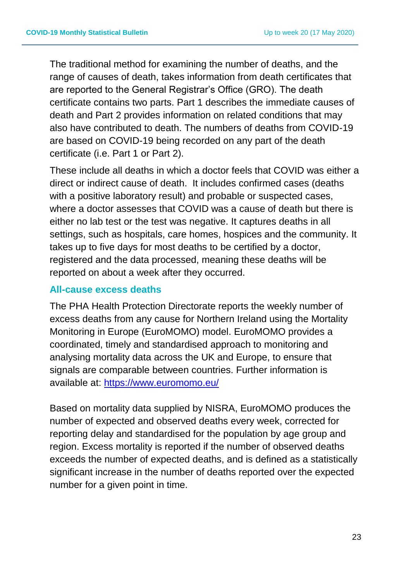The traditional method for examining the number of deaths, and the range of causes of death, takes information from death certificates that are reported to the General Registrar's Office (GRO). The death certificate contains two parts. Part 1 describes the immediate causes of death and Part 2 provides information on related conditions that may also have contributed to death. The numbers of deaths from COVID-19 are based on COVID-19 being recorded on any part of the death certificate (i.e. Part 1 or Part 2).

These include all deaths in which a doctor feels that COVID was either a direct or indirect cause of death. It includes confirmed cases (deaths with a positive laboratory result) and probable or suspected cases, where a doctor assesses that COVID was a cause of death but there is either no lab test or the test was negative. It captures deaths in all settings, such as hospitals, care homes, hospices and the community. It takes up to five days for most deaths to be certified by a doctor, registered and the data processed, meaning these deaths will be reported on about a week after they occurred.

#### **All-cause excess deaths**

The PHA Health Protection Directorate reports the weekly number of excess deaths from any cause for Northern Ireland using the Mortality Monitoring in Europe (EuroMOMO) model. EuroMOMO provides a coordinated, timely and standardised approach to monitoring and analysing mortality data across the UK and Europe, to ensure that signals are comparable between countries. Further information is available at:<https://www.euromomo.eu/>

Based on mortality data supplied by NISRA, EuroMOMO produces the number of expected and observed deaths every week, corrected for reporting delay and standardised for the population by age group and region. Excess mortality is reported if the number of observed deaths exceeds the number of expected deaths, and is defined as a statistically significant increase in the number of deaths reported over the expected number for a given point in time.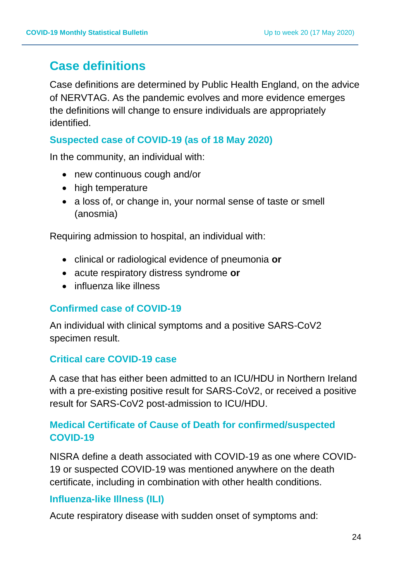## **Case definitions**

Case definitions are determined by Public Health England, on the advice of NERVTAG. As the pandemic evolves and more evidence emerges the definitions will change to ensure individuals are appropriately identified.

## **Suspected case of COVID-19 (as of 18 May 2020)**

In the community, an individual with:

- new continuous cough and/or
- high temperature
- a loss of, or change in, your normal sense of taste or smell (anosmia)

Requiring admission to hospital, an individual with:

- clinical or radiological evidence of pneumonia **or**
- acute respiratory distress syndrome **or**
- influenza like illness

#### **Confirmed case of COVID-19**

An individual with clinical symptoms and a positive SARS-CoV2 specimen result.

#### **Critical care COVID-19 case**

A case that has either been admitted to an ICU/HDU in Northern Ireland with a pre-existing positive result for SARS-CoV2, or received a positive result for SARS-CoV2 post-admission to ICU/HDU.

## **Medical Certificate of Cause of Death for confirmed/suspected COVID-19**

NISRA define a death associated with COVID-19 as one where COVID-19 or suspected COVID-19 was mentioned anywhere on the death certificate, including in combination with other health conditions.

#### **Influenza-like Illness (ILI)**

Acute respiratory disease with sudden onset of symptoms and: